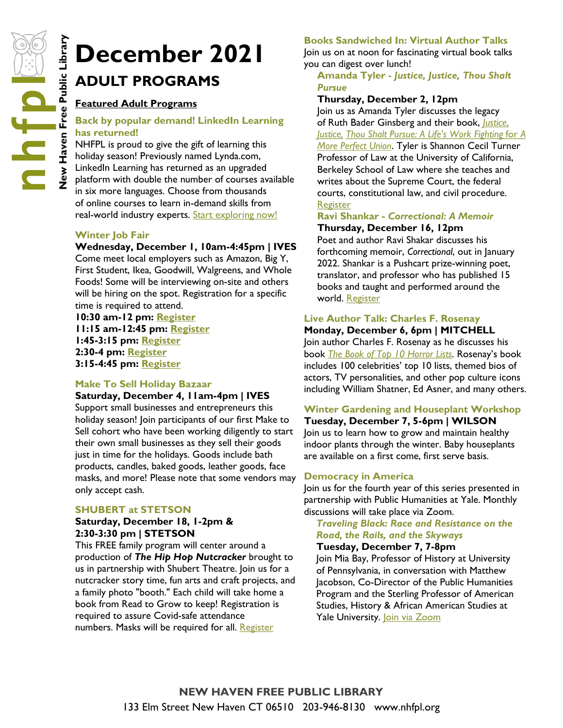# **ADULT PROGRAMS**

#### **Featured Adult Programs**

#### **Back by popular demand! LinkedIn Learning has returned!**

**New Haven Ber 2021**<br> **New Haven Back by popular demand! LinkedIn Lear**<br> **New Haven Free Public LinkedIn Lear**<br> **NAFPL is proud to give the gift of learning this**<br> **NAFPL is proud to give the gift of learning this**<br> **Examp** NHFPL is proud to give the gift of learning this holiday season! Previously named Lynda.com, LinkedIn Learning has returned as an upgraded platform with double the number of courses available in six more languages. Choose from thousands of online courses to learn in-demand skills from real-world industry experts. [Start exploring now!](https://www.linkedin.com/learning-login/go/nhfpl)

#### **Winter Job Fair**

#### **Wednesday, December 1, 10am-4:45pm | IVES**

Come meet local employers such as Amazon, Big Y, First Student, Ikea, Goodwill, Walgreens, and Whole Foods! Some will be interviewing on-site and others will be hiring on the spot. Registration for a specific time is required to attend.

**10:30 am-12 pm: [Register](https://nhfpl.libnet.info/event/5836506) 11:15 am-12:45 pm: [Register](https://nhfpl.libnet.info/event/5836526) 1:45-3:15 pm: [Register](https://nhfpl.libnet.info/event/5836556) 2:30-4 pm: [Register](https://nhfpl.libnet.info/event/5836568) 3:15-4:45 pm: [Register](https://nhfpl.libnet.info/event/5836570)**

#### **Make To Sell Holiday Bazaar**

#### **Saturday, December 4, 11am-4pm | IVES**

Support small businesses and entrepreneurs this holiday season! Join participants of our first Make to Sell cohort who have been working diligently to start their own small businesses as they sell their goods just in time for the holidays. Goods include bath products, candles, baked goods, leather goods, face masks, and more! Please note that some vendors may only accept cash.

#### **SHUBERT at STETSON**

#### **Saturday, December 18, 1-2pm & 2:30-3:30 pm | STETSON**

This FREE family program will center around a production of *The Hip Hop Nutcracker* brought to us in partnership with Shubert Theatre. Join us for a nutcracker story time, fun arts and craft projects, and a family photo "booth." Each child will take home a book from Read to Grow to keep! Registration is required to assure Covid-safe attendance numbers. Masks will be required for all. [Register](https://docs.google.com/forms/d/e/1FAIpQLSfcPafl_Qwp1WRBFYFKZa7bfIDNRUqIXpAOn1sCOJK_6VsfQA/viewform)

#### **Books Sandwiched In: Virtual Author Talks**

Join us on at noon for fascinating virtual book talks you can digest over lunch!

#### **Amanda Tyler -** *Justice, Justice, Thou Shalt Pursue*

#### **Thursday, December 2, 12pm**

Join us as Amanda Tyler discusses the legacy of Ruth Bader Ginsberg and their book, *[Justice](http://nhave-encore.iii.com/iii/encore/record/C__Rb1625871__Sjustice%20justice__Orightresult__U__X6;jsessionid=21CA0A8F732F4D3CBC403DBF730539A2?lang=eng&suite=cobalt)*, *[Justice,](http://nhave-encore.iii.com/iii/encore/record/C__Rb1625871__Sjustice%20justice__Orightresult__U__X6;jsessionid=21CA0A8F732F4D3CBC403DBF730539A2?lang=eng&suite=cobalt) [Thou Shalt Pursue: A Life's Work Fighting](http://nhave-encore.iii.com/iii/encore/record/C__Rb1625871__Sjustice%20justice__Orightresult__U__X6;jsessionid=21CA0A8F732F4D3CBC403DBF730539A2?lang=eng&suite=cobalt)* for *A [More Perfect Union](http://nhave-encore.iii.com/iii/encore/record/C__Rb1625871__Sjustice%20justice__Orightresult__U__X6;jsessionid=21CA0A8F732F4D3CBC403DBF730539A2?lang=eng&suite=cobalt)*. Tyler is Shannon Cecil Turner Professor of Law at the University of California, Berkeley School of Law where she teaches and writes about the Supreme Court, the federal courts, constitutional law, and civil procedure. [Register](https://nhfpl.libnet.info/event/5661689)

#### **Ravi Shankar -** *Correctional: A Memoir* **Thursday, December 16, 12pm**

Poet and author Ravi Shakar discusses his forthcoming memoir, *Correctional*, out in January 2022. Shankar is a Pushcart prize-winning poet, translator, and professor who has published 15 books and taught and performed around the world. [Register](https://nhfpl.libnet.info/event/5670488)

#### **Live Author Talk: Charles F. Rosenay**

**Monday, December 6, 6pm | MITCHELL** Join author Charles F. Rosenay as he discusses his book *[The Book of Top 10 Horror Lists.](http://nhave-encore.iii.com/iii/encore/record/C__Rb1628547__SThe%20Book%20of%20Top%2010%20Horror%20Lists__Orightresult__U__X2?lang=eng&suite=cobalt)* Rosenay's book includes 100 celebrities' top 10 lists, themed bios of actors, TV personalities, and other pop culture icons including William Shatner, Ed Asner, and many others.

#### **Winter Gardening and Houseplant Workshop Tuesday, December 7, 5-6pm | WILSON**

Join us to learn how to grow and maintain healthy indoor plants through the winter. Baby houseplants are available on a first come, first serve basis.

#### **Democracy in America**

Join us for the fourth year of this series presented in partnership with Public Humanities at Yale. Monthly discussions will take place via Zoom.

#### *Traveling Black: Race and Resistance on the Road, the Rails, and the Skyways*

#### **Tuesday, December 7, 7-8pm**

Join Mia Bay, Professor of History at University of Pennsylvania, in conversation with Matthew Jacobson, Co-Director of the Public Humanities Program and the Sterling Professor of American Studies, History & African American Studies at Yale University. [Join via Zoom](https://yale.zoom.us/webinar/register/WN_CdmcYkB8Qj2--Ms16SgREQ)